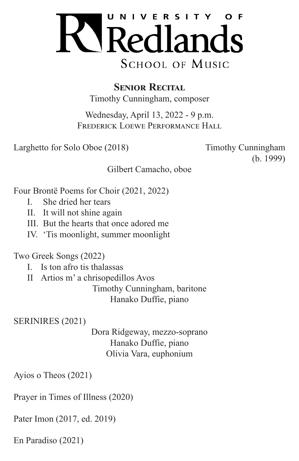

**SENIOR RECITAL** Timothy Cunningham, composer

Wednesday, April 13, 2022 - 9 p.m. Frederick Loewe Performance Hall

Larghetto for Solo Oboe (2018) Timothy Cunningham

(b. 1999)

Gilbert Camacho, oboe

Four Brontë Poems for Choir (2021, 2022)

- I. She dried her tears
- II. It will not shine again
- III. But the hearts that once adored me
- IV. 'Tis moonlight, summer moonlight

Two Greek Songs (2022)

- I. Is ton afro tis thalassas
- II Artios m' a chrisopedillos Avos

Timothy Cunningham, baritone Hanako Duffie, piano

SERINIRES (2021)

Dora Ridgeway, mezzo-soprano Hanako Duffie, piano Olivia Vara, euphonium

Ayios o Theos (2021)

Prayer in Times of Illness (2020)

Pater Imon (2017, ed. 2019)

En Paradiso (2021)